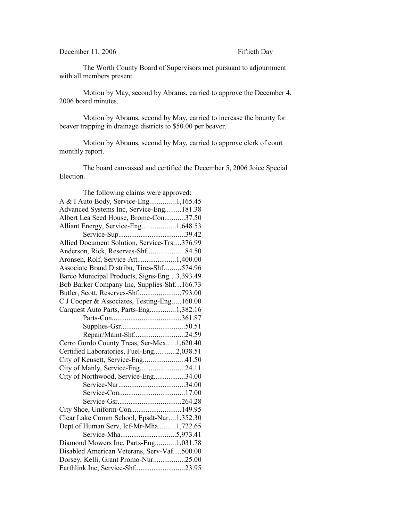## December 11, 2006 Fiftieth Day

The Worth County Board of Supervisors met pursuant to adjournment with all members present.

Motion by May, second by Abrams, carried to approve the December 4, 2006 board minutes.

Motion by Abrams, second by May, carried to increase the bounty for beaver trapping in drainage districts to \$50.00 per beaver.

Motion by Abrams, second by May, carried to approve clerk of court monthly report.

The board canvassed and certified the December 5, 2006 Joice Special Election.

| The following claims were approved:         |  |
|---------------------------------------------|--|
| A & I Auto Body, Service-Eng1,165.45        |  |
| Advanced Systems Inc, Service-Eng181.38     |  |
| Albert Lea Seed House, Brome-Con37.50       |  |
| Alliant Energy, Service-Eng1,648.53         |  |
|                                             |  |
| Allied Document Solution, Service-Trs376.99 |  |
|                                             |  |
| Aronsen, Rolf, Service-Att1,400.00          |  |
| Associate Brand Distribu, Tires-Shf574.96   |  |
| Barco Municipal Products, Signs-Eng3,393.49 |  |
| Bob Barker Company Inc, Supplies-Shf166.73  |  |
|                                             |  |
| C J Cooper & Associates, Testing-Eng160.00  |  |
| Carquest Auto Parts, Parts-Eng1,382.16      |  |
|                                             |  |
|                                             |  |
| Repair/Maint-Shf24.59                       |  |
| Cerro Gordo County Treas, Ser-Mex1,620.40   |  |
| Certified Laboratories, Fuel-Eng2,038.51    |  |
| City of Kensett, Service-Eng41.50           |  |
| City of Manly, Service-Eng24.11             |  |
| City of Northwood, Service-Eng34.00         |  |
|                                             |  |
|                                             |  |
|                                             |  |
| City Shoe, Uniform-Con149.95                |  |
| Clear Lake Comm School, Epsdt-Nur1,352.30   |  |
| Dept of Human Serv, Icf-Mr-Mha1,722.65      |  |
|                                             |  |
| Diamond Mowers Inc, Parts-Eng1,031.78       |  |
| Disabled American Veterans, Serv-Vaf500.00  |  |
| Dorsey, Kelli, Grant Promo-Nur25.00         |  |
| Earthlink Inc, Service-Shf23.95             |  |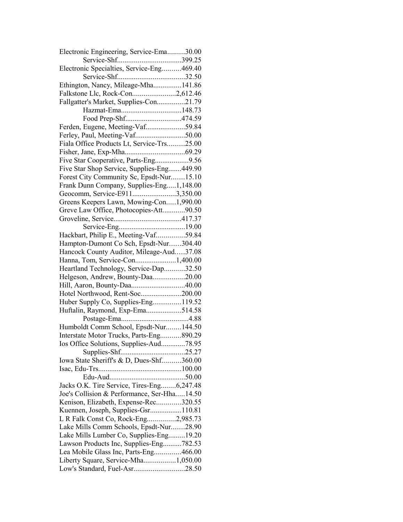| Electronic Engineering, Service-Ema30.00    |  |
|---------------------------------------------|--|
|                                             |  |
| Electronic Specialties, Service-Eng469.40   |  |
|                                             |  |
| Ethington, Nancy, Mileage-Mha141.86         |  |
| Falkstone Llc, Rock-Con2,612.46             |  |
| Fallgatter's Market, Supplies-Con21.79      |  |
|                                             |  |
| Food Prep-Shf474.59                         |  |
| Ferden, Eugene, Meeting-Vaf59.84            |  |
| Ferley, Paul, Meeting-Vaf50.00              |  |
| Fiala Office Products Lt, Service-Trs25.00  |  |
|                                             |  |
| Five Star Cooperative, Parts-Eng9.56        |  |
| Five Star Shop Service, Supplies-Eng449.90  |  |
| Forest City Community Sc, Epsdt-Nur15.10    |  |
| Frank Dunn Company, Supplies-Eng1,148.00    |  |
| Geocomm, Service-E9113,350.00               |  |
| Greens Keepers Lawn, Mowing-Con1,990.00     |  |
|                                             |  |
| Greve Law Office, Photocopies-Att90.50      |  |
|                                             |  |
|                                             |  |
| Hackbart, Philip E., Meeting-Vaf59.84       |  |
| Hampton-Dumont Co Sch, Epsdt-Nur304.40      |  |
| Hancock County Auditor, Mileage-Aud37.08    |  |
| Hanna, Tom, Service-Con1,400.00             |  |
| Heartland Technology, Service-Dap32.50      |  |
| Helgeson, Andrew, Bounty-Daa20.00           |  |
| Hill, Aaron, Bounty-Daa40.00                |  |
| Hotel Northwood, Rent-Soc200.00             |  |
| Huber Supply Co, Supplies-Eng119.52         |  |
| Huftalin, Raymond, Exp-Ema514.58            |  |
|                                             |  |
| Humboldt Comm School, Epsdt-Nur144.50       |  |
| Interstate Motor Trucks, Parts-Eng890.29    |  |
| Ios Office Solutions, Supplies-Aud78.95     |  |
|                                             |  |
| Iowa State Sheriff's & D, Dues-Shf360.00    |  |
|                                             |  |
|                                             |  |
| Jacks O.K. Tire Service, Tires-Eng6,247.48  |  |
| Joe's Collision & Performance, Ser-Hha14.50 |  |
| Kenison, Elizabeth, Expense-Rec320.55       |  |
| Kuennen, Joseph, Supplies-Gsr110.81         |  |
| L R Falk Const Co, Rock-Eng2,985.73         |  |
| Lake Mills Comm Schools, Epsdt-Nur28.90     |  |
| Lake Mills Lumber Co, Supplies-Eng19.20     |  |
| Lawson Products Inc, Supplies-Eng782.53     |  |
| Lea Mobile Glass Inc, Parts-Eng466.00       |  |
| Liberty Square, Service-Mha1,050.00         |  |
| Low's Standard, Fuel-Asr28.50               |  |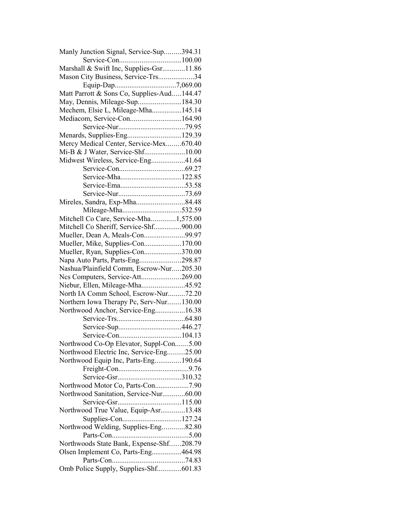| Marshall & Swift Inc, Supplies-Gsr11.86<br>Mason City Business, Service-Trs34<br>Equip-Dap7,069.00<br>Matt Parrott & Sons Co, Supplies-Aud144.47<br>May, Dennis, Mileage-Sup184.30<br>Mechem, Elsie L, Mileage-Mha145.14<br>Mediacom, Service-Con164.90<br>Menards, Supplies-Eng129.39<br>Mercy Medical Center, Service-Mex670.40<br>Mi-B & J Water, Service-Shf10.00<br>Midwest Wireless, Service-Eng41.64<br>Service-Mha122.85<br>Mireles, Sandra, Exp-Mha84.48<br>Mileage-Mha532.59<br>Mitchell Co Care, Service-Mha1,575.00<br>Mitchell Co Sheriff, Service-Shf900.00<br>Mueller, Dean A, Meals-Con99.97<br>Mueller, Mike, Supplies-Con170.00<br>Mueller, Ryan, Supplies-Con370.00<br>Napa Auto Parts, Parts-Eng298.87<br>Nashua/Plainfield Comm, Escrow-Nur205.30<br>Ncs Computers, Service-Att269.00<br>Niebur, Ellen, Mileage-Mha45.92<br>North IA Comm School, Escrow-Nur72.20 |  |
|----------------------------------------------------------------------------------------------------------------------------------------------------------------------------------------------------------------------------------------------------------------------------------------------------------------------------------------------------------------------------------------------------------------------------------------------------------------------------------------------------------------------------------------------------------------------------------------------------------------------------------------------------------------------------------------------------------------------------------------------------------------------------------------------------------------------------------------------------------------------------------------|--|
|                                                                                                                                                                                                                                                                                                                                                                                                                                                                                                                                                                                                                                                                                                                                                                                                                                                                                        |  |
|                                                                                                                                                                                                                                                                                                                                                                                                                                                                                                                                                                                                                                                                                                                                                                                                                                                                                        |  |
|                                                                                                                                                                                                                                                                                                                                                                                                                                                                                                                                                                                                                                                                                                                                                                                                                                                                                        |  |
|                                                                                                                                                                                                                                                                                                                                                                                                                                                                                                                                                                                                                                                                                                                                                                                                                                                                                        |  |
|                                                                                                                                                                                                                                                                                                                                                                                                                                                                                                                                                                                                                                                                                                                                                                                                                                                                                        |  |
|                                                                                                                                                                                                                                                                                                                                                                                                                                                                                                                                                                                                                                                                                                                                                                                                                                                                                        |  |
|                                                                                                                                                                                                                                                                                                                                                                                                                                                                                                                                                                                                                                                                                                                                                                                                                                                                                        |  |
|                                                                                                                                                                                                                                                                                                                                                                                                                                                                                                                                                                                                                                                                                                                                                                                                                                                                                        |  |
|                                                                                                                                                                                                                                                                                                                                                                                                                                                                                                                                                                                                                                                                                                                                                                                                                                                                                        |  |
|                                                                                                                                                                                                                                                                                                                                                                                                                                                                                                                                                                                                                                                                                                                                                                                                                                                                                        |  |
|                                                                                                                                                                                                                                                                                                                                                                                                                                                                                                                                                                                                                                                                                                                                                                                                                                                                                        |  |
|                                                                                                                                                                                                                                                                                                                                                                                                                                                                                                                                                                                                                                                                                                                                                                                                                                                                                        |  |
|                                                                                                                                                                                                                                                                                                                                                                                                                                                                                                                                                                                                                                                                                                                                                                                                                                                                                        |  |
|                                                                                                                                                                                                                                                                                                                                                                                                                                                                                                                                                                                                                                                                                                                                                                                                                                                                                        |  |
|                                                                                                                                                                                                                                                                                                                                                                                                                                                                                                                                                                                                                                                                                                                                                                                                                                                                                        |  |
|                                                                                                                                                                                                                                                                                                                                                                                                                                                                                                                                                                                                                                                                                                                                                                                                                                                                                        |  |
|                                                                                                                                                                                                                                                                                                                                                                                                                                                                                                                                                                                                                                                                                                                                                                                                                                                                                        |  |
|                                                                                                                                                                                                                                                                                                                                                                                                                                                                                                                                                                                                                                                                                                                                                                                                                                                                                        |  |
|                                                                                                                                                                                                                                                                                                                                                                                                                                                                                                                                                                                                                                                                                                                                                                                                                                                                                        |  |
|                                                                                                                                                                                                                                                                                                                                                                                                                                                                                                                                                                                                                                                                                                                                                                                                                                                                                        |  |
|                                                                                                                                                                                                                                                                                                                                                                                                                                                                                                                                                                                                                                                                                                                                                                                                                                                                                        |  |
|                                                                                                                                                                                                                                                                                                                                                                                                                                                                                                                                                                                                                                                                                                                                                                                                                                                                                        |  |
|                                                                                                                                                                                                                                                                                                                                                                                                                                                                                                                                                                                                                                                                                                                                                                                                                                                                                        |  |
|                                                                                                                                                                                                                                                                                                                                                                                                                                                                                                                                                                                                                                                                                                                                                                                                                                                                                        |  |
|                                                                                                                                                                                                                                                                                                                                                                                                                                                                                                                                                                                                                                                                                                                                                                                                                                                                                        |  |
|                                                                                                                                                                                                                                                                                                                                                                                                                                                                                                                                                                                                                                                                                                                                                                                                                                                                                        |  |
|                                                                                                                                                                                                                                                                                                                                                                                                                                                                                                                                                                                                                                                                                                                                                                                                                                                                                        |  |
|                                                                                                                                                                                                                                                                                                                                                                                                                                                                                                                                                                                                                                                                                                                                                                                                                                                                                        |  |
|                                                                                                                                                                                                                                                                                                                                                                                                                                                                                                                                                                                                                                                                                                                                                                                                                                                                                        |  |
|                                                                                                                                                                                                                                                                                                                                                                                                                                                                                                                                                                                                                                                                                                                                                                                                                                                                                        |  |
| Northern Iowa Therapy Pc, Serv-Nur130.00                                                                                                                                                                                                                                                                                                                                                                                                                                                                                                                                                                                                                                                                                                                                                                                                                                               |  |
| Northwood Anchor, Service-Eng16.38                                                                                                                                                                                                                                                                                                                                                                                                                                                                                                                                                                                                                                                                                                                                                                                                                                                     |  |
|                                                                                                                                                                                                                                                                                                                                                                                                                                                                                                                                                                                                                                                                                                                                                                                                                                                                                        |  |
|                                                                                                                                                                                                                                                                                                                                                                                                                                                                                                                                                                                                                                                                                                                                                                                                                                                                                        |  |
|                                                                                                                                                                                                                                                                                                                                                                                                                                                                                                                                                                                                                                                                                                                                                                                                                                                                                        |  |
| Northwood Co-Op Elevator, Suppl-Con5.00                                                                                                                                                                                                                                                                                                                                                                                                                                                                                                                                                                                                                                                                                                                                                                                                                                                |  |
| Northwood Electric Inc, Service-Eng25.00                                                                                                                                                                                                                                                                                                                                                                                                                                                                                                                                                                                                                                                                                                                                                                                                                                               |  |
| Northwood Equip Inc, Parts-Eng190.64                                                                                                                                                                                                                                                                                                                                                                                                                                                                                                                                                                                                                                                                                                                                                                                                                                                   |  |
|                                                                                                                                                                                                                                                                                                                                                                                                                                                                                                                                                                                                                                                                                                                                                                                                                                                                                        |  |
|                                                                                                                                                                                                                                                                                                                                                                                                                                                                                                                                                                                                                                                                                                                                                                                                                                                                                        |  |
| Northwood Motor Co, Parts-Con7.90                                                                                                                                                                                                                                                                                                                                                                                                                                                                                                                                                                                                                                                                                                                                                                                                                                                      |  |
| Northwood Sanitation, Service-Nur60.00                                                                                                                                                                                                                                                                                                                                                                                                                                                                                                                                                                                                                                                                                                                                                                                                                                                 |  |
|                                                                                                                                                                                                                                                                                                                                                                                                                                                                                                                                                                                                                                                                                                                                                                                                                                                                                        |  |
| Northwood True Value, Equip-Asr13.48                                                                                                                                                                                                                                                                                                                                                                                                                                                                                                                                                                                                                                                                                                                                                                                                                                                   |  |
| Supplies-Con127.24                                                                                                                                                                                                                                                                                                                                                                                                                                                                                                                                                                                                                                                                                                                                                                                                                                                                     |  |
| Northwood Welding, Supplies-Eng82.80                                                                                                                                                                                                                                                                                                                                                                                                                                                                                                                                                                                                                                                                                                                                                                                                                                                   |  |
|                                                                                                                                                                                                                                                                                                                                                                                                                                                                                                                                                                                                                                                                                                                                                                                                                                                                                        |  |
| Northwoods State Bank, Expense-Shf208.79                                                                                                                                                                                                                                                                                                                                                                                                                                                                                                                                                                                                                                                                                                                                                                                                                                               |  |
| Olsen Implement Co, Parts-Eng464.98                                                                                                                                                                                                                                                                                                                                                                                                                                                                                                                                                                                                                                                                                                                                                                                                                                                    |  |
|                                                                                                                                                                                                                                                                                                                                                                                                                                                                                                                                                                                                                                                                                                                                                                                                                                                                                        |  |
| Omb Police Supply, Supplies-Shf601.83                                                                                                                                                                                                                                                                                                                                                                                                                                                                                                                                                                                                                                                                                                                                                                                                                                                  |  |